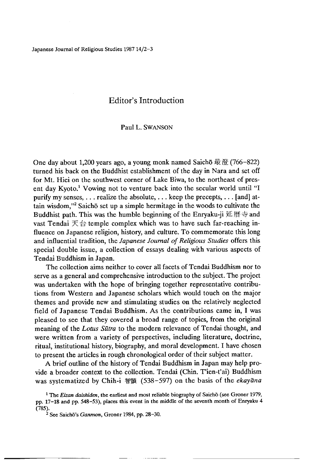Japanese Journal of Religious Studies 1987 14/2-3

# Editor's Introduction

## Paul L. SWANSON

One day about 1,200 years ago, a young monk named Saicho 最澄(766-822) turned his back on the Buddhist establishment of the day in Nara and set off for Mt. Hiei on the southwest corner of Lake Biwa, to the northeast of present day Kyoto.<sup>1</sup> Vowing not to venture back into the secular world until "I purify my senses,  $\dots$  realize the absolute,  $\dots$  keep the precepts,  $\dots$  [and] attain wisdom,"<sup>2</sup> Saicho set up a simple hermitage in the woods to cultivate the Buddhist path. This was the humble beginning of the Enryaku-ji 延暦寺 and vast Tendai  $\pm \oplus$  temple complex which was to have such far-reaching influence on Japanese religion, history, and culture. To commemorate this long and influential tradition, the *Japanese Journal of Religious Studies* offers this special double issue, a collection of essays dealing with various aspects of Tendai Buddhism in Japan.

The collection aims neither to cover all facets of Tendai Buddhism nor to serve as a general and comprehensive introduction to the subject. The project was undertaken with the hope of bringing together representative contributions from Western and Japanese scholars which would touch on the major themes and provide new and stimulating studies on the relatively neglected field of Japanese Tendai Buddhism. As the contributions came in, I was pleased to see that they covered a broad range of topics, from the original meaning of the *Lotus Sutra* to the modem relevance of Tendai thought, and were written from a variety of perspectives, including literature, doctrine, ritual, institutional history, biography, and moral development. I have chosen to present the articles in rough chronological order of their subject matter.

A brief outline of the history of Tendai Buddhism in Japan may help provide a broader context to the collection. Tendai (Chin. T'ien-t'ai) Buddhism was systematized by Chih-i 智顗 (538-597) on the basis of the *ekayana*

<sup>&</sup>lt;sup>1</sup> The *Eizan daishiden*, the earliest and most reliable biography of Saichō (see Groner 1979, pp. 17-18 and pp. 548-53), places this event in the middle of the seventh month of Enryaku 4 (785).

<sup>&</sup>lt;sup>2</sup> See Saichõ's *Ganmon*, Groner 1984, pp. 28-30.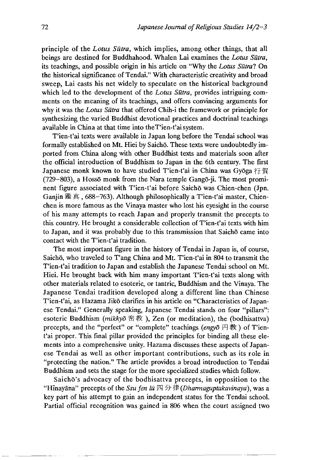principle of the *Lotus Sutra,* which implies, among other things, that all beings are destined for Buddhahood. Whalen Lai examines the *Lotus Sutra,* its teachings, and possible origin in his article on "Why the *Lotus Sutral* On the historical significance of Tendai." With characteristic creativity and broad sweep, Lai casts his net widely to speculate on the historical background which led to the development of the *Lotus Sūtra*, provides intriguing comments on the meaning of its teachings, and offers convincing arguments for why it was the *Lotus Sutra* that offered Chih-i the framework or principle for synthesizing the varied Buddhist devotional practices and doctrinal teachings available in China at that time into theT'ien-t'ai system.

T'ien-t'ai texts were available in Japan long before the Tendai school was formally established on Mt. Hiei by Saichō. These texts were undoubtedly imported from China along with other Buddhist texts and materials soon after the official introduction of Buddhism to Japan in the 6th century. The first Japanese monk known to have studied T'ien-t'ai in China was Gyōga 行賀 (729-803), a Hosso monk from the Nara temple Gango-ji. The most prominent figure associated with T'ien-t'ai before Saichō was Chien-chen (Jpn. Ganjin 鑑 真, 688-763). Although philosophically a T'ien-t'ai master, Chienchen is more famous as the Vinaya master who lost his eyesight in the course of his many attempts to reach Japan and properly transmit the precepts to this country. He brought a considerable collection of T'ien-t'ai texts with him to Japan, and it was probably due to this transmission that Saichō came into contact with the T'ien-t'ai tradition.

The most important figure in the history of Tendai in Japan is, of course, Saichō, who traveled to T'ang China and Mt. T'ien-t'ai in 804 to transmit the T'ien-t'ai tradition to Japan and establish the Japanese Tendai school on Mt. Hiei. He brought back with him many important T'ien-t'ai texts along with other materials related to esoteric, or tantric, Buddhism and the Vinaya. The Japanese Tendai tradition developed along a different line than Chinese T'ien-t'ai, as Hazama Jikō clarifies in his article on "Characteristics of Japanese Tendai." Generally speaking, Japanese Tendai stands on four "pillars": esoteric Buddhism *(mikkyō* 密教), Zen (or meditation), the (bodhisattva) precepts, and the "perfect" or "complete" teachings *(engyo* 円教) of T'ient'ai proper. This final pillar provided the principles for binding all these elements into a comprehensive unity. Hazama discusses these aspects of Japanese Tendai as well as other important contributions, such as its role in "protecting the nation." The article provides a broad introduction to Tendai Buddhism and sets the stage for the more specialized studies which follow.

Saichō's advocacy of the bodhisattva precepts, in opposition to the <<HInayana,> precepts of the *Ssu fen lit 分律(Dharmaguptakavinaya),* was a key part of his attempt to gain an independent status for the Tendai school. Partial official recognition was gained in 806 when the court assigned two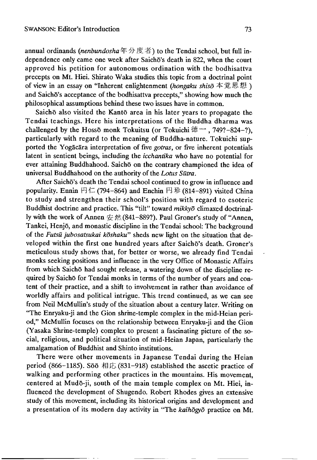annual ordinands *(nenbundosha*年分度者) to the Tendai school, but full independence only came one week after Saichō's death in 822, when the court approved his petition for autonomous ordination with the bodhisattva precepts on Mt. Hiei. Shirato Waka studies this topic from a doctrinal point of view in an essay on "Inherent enlightenment *(hongaku shiso* 本克思想 ) and Saichō's acceptance of the bodhisattva precepts," showing how much the philosophical assumptions behind these two issues have in common.

Saichō also visited the Kantō area in his later years to propagate the Tendai teachings. Here his interpretations of the Buddha dharma was challenged by the Hosso monk Tokuitsu (or Tokuichi 徳 ー, 749?-824-?), particularly with regard to the meaning of Buddha-nature. Tokuichi supported the Yogacara interpretation of five *gotras*, or five inherent potentials latent in sentient beings, including the *icchantika* who have no potential for ever attaining Buddhahood. Saichō on the contrary championed the idea of universal Buddhahood on the authority of the *Lotus Sutra.*

After Saichō's death the Tendai school continued to grow in influence and popularity. Ennin 円仁 (794-864) and Enchin 円珍 (814-891) visited China to study and strengthen their school's position with regard to esoteric Buddhist doctrine and practice. This "tilt" toward *mikkyd* climaxed doctrinally with the work of Annen  $\hat{\mathcal{L}}$   $\hat{\mathcal{R}}$  (841-889?). Paul Groner's study of "Annen, Tankei, Henjō, and monastic discipline in the Tendai school: The background of the *Futsu* jubosatsukai koshaku" sheds new light on the situation that developed within the first one hundred years after Saichō's death. Groner's meticulous study shows that, for better or worse, we already find Tendai monks seeking positions and influence in the very Office of Monastic Affairs from which Saichō had sought release, a watering down of the discipline required by Saichō for Tendai monks in terms of the number of years and content of their practice, and a shift to involvement in rather than avoidance of worldly affairs and political intrigue. This trend continued, as we can see from Neil McMullin's study of the situation about a century later. Writing on "The Enryaku-ji and the Gion shrme-temple complex in the mid-Heian period," McMullin focuses on the relationship between Enryaku-ji and the Gion (Yasaka Shrme-temple) complex to present a fascinating picture of the social, religious, and political situation of mid-Heian Japan, particularly the amalgamation of Buddhist and Shinto institutions.

There were other movements in Japanese Tendai during the Heian period (866-1185). Sōō 相応 (831-918) established the ascetic practice of walking and performing other practices in the mountains. His movement, centered at Mudo-ji, south of the main temple complex on Mt. Hiei, influenced the development of Shugendo. Robert Rhodes gives an extensive study of this movement, including its historical origins and development and a presentation of its modern day activity in "The *kaihogyo* practice on Mt.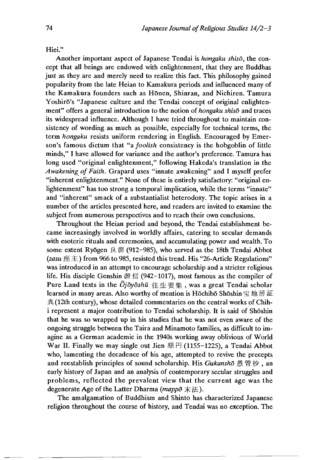Hiei."

Another important aspect of Japanese Tendai is *hongaku shiso*, the concept that all beings are endowed with enlightenment, that they are Buddhas just as they are and merely need to realize this fact. This philosophy gained popularity from the late Heian to Kamakura periods and influenced many of the Kamakura founders such as Honen, Shinran, and Nichiren. Tamura Yoshirō's "Japanese culture and the Tendai concept of original enlightenment" offers a general introduction to the notion of *hongaku shisd* and traces its widespread influence. Although I have tried throughout to maintain consistency of wording as much as possible, especially for technical terms, the term *hongaku* resists uniform rendering in English. Encouraged by Emerson's famous dictum that "a *foolish* consistency is the hobgoblin of little minds," I have allowed for variance and the author's preference. Tamura has long used "original enlightenment," following Hakeda's translation in the *Awakening of Faith.* Grapard uses "innate awakening" and I myself prefer "inherent enlightenment." None of these is entirely satisfactory: "original enlightenment" has too strong a temporal implication, while the terms "innate" and "inherent" smack of a substantialist heterodoxy. The topic arises in a number of the articles presented here, and readers are invited to examine the subject from numerous perspectives and to reach their own conclusions.

Throughout the Heian period and beyond, the Tendai establishment became increasingly involved in worldly affairs, catering to secular demands with esoteric rituals and ceremonies, and accumulating power and wealth. To some extent Ry<sub>0</sub> een  $\dot{\mathbb{R}}$  (912–985), who served as the 18th Tendai Abbot *(zasu* 座主)from 966 to 985, resisted this trend. His "26-Article Regulations" was introduced in an attempt to encourage scholarship and a stricter religious life. His disciple Genshin 源信 (942-1017), most famous as the compiler of Pure Land texts in the  $\overline{\Omega}$ *joyoshu* 往生要集, was a great Tendai scholar learned in many areas. Also worthy of mention is Hōchibō Shōshin 宝地房証 真(12th century), whose detailed commentaries on the central works of Chihi represent a major contribution to Tendai scholarship. It is said of Shōshin that he was so wrapped up in his studies that he was not even aware of the ongoing struggle between the Taira and Minamoto families, as difficult to imagine as a German academic in the 1940s working away oblivious of World War II. Finally we may single out Jien 慈円  $(1155-1225)$ , a Tendai Abbot who, lamenting the decadence of his age, attempted to revive the precepts and reestablish principles of sound scholarship. His *Gukansho* 愚管抄, an early history of Japan and an analysis of contemporary secular struggles and problems, reflected the prevalent view that the current age was the degenerate Age of the Latter Dharma *{mappd* 末法).

The amalgamation of Buddhism and Shinto has characterized Japanese religion throughout the course of history, and Tendai was no exception. The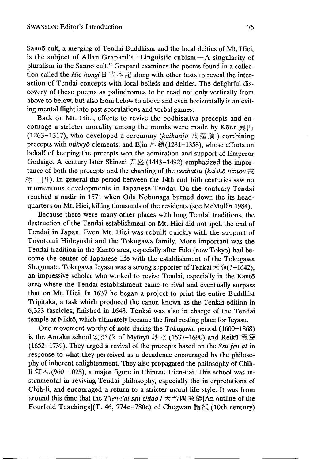Sanno cult, a merging of Tendai Buddhism and the local deities of Mt. Hiei, is the subject of Allan Grapard's "Linguistic cubism —A singularity of pluralism in the Sannō cult." Grapard examines the poems found in a collection called the *Hie hongi* 日吉本記 along with other texts to reveal the interaction of Tendai concepts with local beliefs and deities. The delightful discovery of these poems as palindromes to be read not only vertically from above to below, but also from below to above and even horizontally is an exiting mental flight into past speculations and verbal games.

Back on Mt. Hiei, efforts to revive the bodhisattva precepts and encourage a stricter morality among the monks were made by K $\overline{\text{6en}}$  #  $\overline{H}$ (1263-1317), who developed a ceremony *(kaikanjo* 戒灌頂 )combining precepts with *mikkyo* elements, and Ejin 恵鎮(1281-1358), whose efforts on behalf of keeping the precepts won the admiration and support of Emperor Godaigo. A century later Shinzei 真 盛 (1443-1492) emphasized the importance of both the precepts and the chanting of the *nenbutsu (kaishō nimon* 戒 称二門). In general the period between the 14th and 16th centuries saw no momentous developments in Japanese Tendai. On the contrary Tendai reached a nadir in 1571 when Oda Nobunaga burned down the its headquarters on Mt. Hiei, killing thousands of the residents (see McMullin 1984).

Because there were many other places with long Tendai traditions, the destruction of the Tendai establishment on Mt. Hiei did not spell the end of Tendai in Japan. Even Mt. Hiei was rebuilt quickly with the support of Toyotomi Hideyoshi and the Tokugawa family. More important was the Tendai tradition in the Kantō area, especially after Edo (now Tokyo) had become the center of Japanese life with the establishment of the Tokugawa Shogunate. Tokugawa Ieyasu was a strong supporter of Tenkai 天海(?-1642), an impressive scholar who worked to revive Tendai, especially in the Kanto area where the Tendai establishment came to rival and eventually surpass that on Mt. Hiei. In 1637 he began a project to print the entire Buddhist Tripitaka, a task which produced the canon known as the Tenkai edition in 6,323 fascicles, finished in 1648. Tenkai was also in charge of the Tendai temple at Nikko, which ultimately became the final resting place for Ieyasu.

One movement worthy of note during the Tokugawa period (1600-1868) is the Anraku school安楽派 of Myōryū  $\psi \circ f$  (1637-1690) and Reikū 霊空 (1652-1739). They urged a revival of the precepts based on the *Ssu fen lu* in response to what they perceived as a decadence encouraged by the philosophy or inherent enlightenment. They also propagated the philosophy of Chihli 知礼(960-1028), a major figure in Chinese T'ien-t'ai. This school was instrumental in reviving Tendai philosophy, especially the interpretations of Chih-li, and encouraged a return to a stricter moral life style. It was from around this time that the *Tien-t'ai ssu chiao* i 天台四教儀[An outline of the Fourfold Teachings](T. 46 774c-780c) of Chegwan 諦 観 (10th century)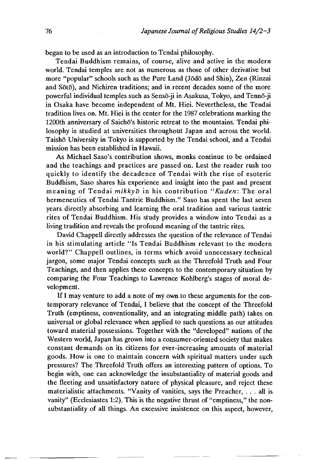began to be used as an introduction to Tendai philosophy.

Tendai Buddhism remains, of course, alive and active in the modern world. Tendai temples are not as numerous as those of other derivative but more "popular" schools such as the Pure Land (Jodo and Shin), Zen (Rinzai and Sōtō), and Nichiren traditions; and in recent decades some of the more powerful individual temples such as Sensō-ji in Asakusa, Tokyo, and Tennō-ji in Osaka have become independent of Mt. Hiei. Nevertheless, the Tendai tradition lives on. Mt. Hiei is the center for the 1987 celebrations marking the 1200th anniversary of Saichō's historic retreat to the mountains. Tendai philosophy is studied at universities throughout Japan and across the world. Taisho University in Tokyo is supported by the Tendai school, and a Tendai mission has been established in Hawaii.

As Michael Saso's contribution shows, monks continue to be ordained and the teachings and practices are passed on. Lest the reader rush too quickly to identify the decadence of Tendai with the rise of esoteric Buddhism, Saso shares his experience and insight into the past and present meaning of Tendai *mikkyo* in his contribution *"Kuden:* The oral hermeneutics of Tendai Tantric Buddhism." Saso has spent the last seven years directly absorbing and learning the oral tradition and various tantric rites of Tendai Buddhism. His study provides a window into Tendai as a living tradition and reveals the profound meaning of the tantric rites.

David Chappell directly addresses the question of the relevance of Tendai in his stimulating article "Is Tendai Buddhism relevant to the modern world?" Chappell outlines, in terms which avoid unnecessary technical jargon, some major Tendai concepts such as the Threefold Truth and Four Teachings, and then applies these concepts to the contemporary situation by comparing the Four Teachings to Lawrence Kohlberg's stages of moral development.

If I may venture to add a note of my own to these arguments for the contemporary relevance of Tendai,I believe that the concept of the Threefold Truth (emptiness, conventionality, and an integrating middle path) takes on universal or global relevance when applied to such questions as our attitudes toward material possessions. Together with the "developed" nations of the Western world, Japan has grown into a consumer-oriented society that makes constant demands on its citizens for ever-increasing amounts of material goods. How is one to maintain concern with spiritual matters under such pressures? The Threefold Truth offers an interesting pattern of options. To begin with, one can acknowledge the insubstantiality of material goods and the fleeting and unsatisfactory nature of physical pleasure, and reject these materialistic attachments. "Vanity of vanities, says the Preacher, . . . all is vanity" (Ecclesiastes 1:2). This is the negative thrust of "emptiness," the nonsubstantiality of all things. An excessive insistence on this aspect, however,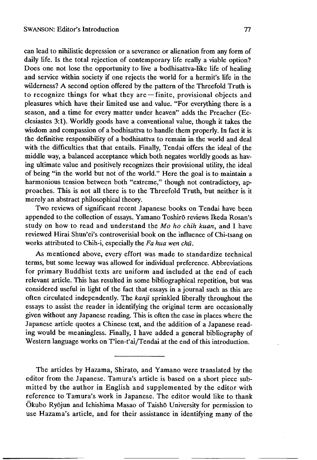can lead to nihilistic depression or a severance or alienation from any form of daily life. Is the total rejection of contemporary life really a viable option? Does one not lose the opportunity to live a bodhisattva-like life of healing and service within society if one rejects the world for a hermit's life in the wilderness? A second option offered by the pattern of the Threefold Truth is to recognize things for what they are — finite, provisional objects and pleasures which have their limited use and value. "For everything there is a season, and a time for every matter under heaven" adds the Preacher (Ecclesiastes 3:1). Worldly goods have a conventional value, though it takes the wisdom and compassion of a bodhisattva to handle them properly. In fact it is the definitive responsibility of a bodhisattva to remain in the world and deal with the difficulties that that entails. Finally, Tendai offers the ideal of the middle way, a balanced acceptance which both negates worldly goods as having ultimate value and positively recognizes their provisional utility, the ideal of being "in the world but not of the world." Here the goal is to maintain a harmonious tension between both "extreme," though not contradictory, approaches. This is not all there is to the Threefold Truth, but neither is it merely an abstract philosophical theory.

Two reviews of significant recent Japanese books on Tendai have been appended to the collection of essays. Yamano Toshiro reviews Ikeda Rosan's study on how to read and understand the *Mo ho chih kuan*, and I have reviewed Hirai Shun'ei's controverisial book on the influence of Chi-tsang on works attributed to Chih-i, especially the *Fa hua wen chii.*

As mentioned above, every effort was made to standardize technical terms, but some leeway was allowed for individual preference. Abbreviations for primary Buddhist texts are uniform and included at the end of each relevant article. This has resulted in some bibliographical repetition, but was considered useful in light of the fact that essays in a journal such as this are often circulated independently. The *kanji* sprinkled liberally throughout the essays to assist the reader in identifying the original term are occasionally given without any Japanese reading. This is often the case in places where the Japanese article quotes a Chinese text, and the addition of a Japanese reading would be meaningless. Finally, I have added a general bibliography of Western language works on T'ien-t'ai/Tendai at the end of this introduction.

The articles by Hazama, Shirato, and Yamano were translated by the editor from the Japanese. Tamura's article is based on a short piece submitted by the author in English and supplemented by the editor with reference to Tamura's work in Japanese. The editor would like to thank Okubo Ryojun and Ichishima Masao of Taisho University for permission to use Hazama's article, and for their assistance in identifying many of the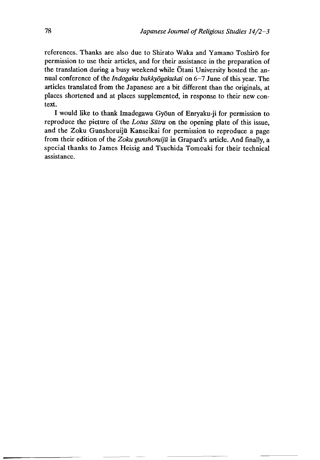references. Thanks are also due to Shirato Waka and Yamano Toshiro for permission to use their articles, and for their assistance in the preparation of the translation during a busy weekend while Otani University hosted the annual conference of the *Indogaku bukkydgakukai* on 6-7 June of this year. The articles translated from the Japanese are a bit different than the originals, at places shortened and at places supplemented, in response to their new context.

I would like to thank Imadegawa Gyoun of Enryaku-ji for permission to reproduce the picture of the *Lotus Sutra* on the opening plate of this issue, and the Zoku Gunshoruiju Kanseikai for permission to reproduce a page from their edition of the *Zoku gunshoruijū* in Grapard's article. And finally, a special thanks to James Heisig and Tsuchida Tomoaki for their technical assistance.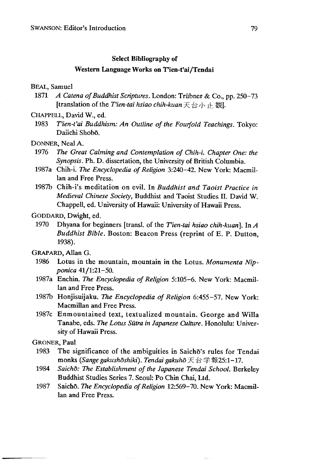#### Select Bibliography of

## Western Language Works on T'ien-t'ai/Tendai

#### BEAL, Samuel

1871 *A Catena of Buddhist Scriptures.* London: Trübner & Co., pp. 250-73 [translation of the *Tien-tai hsiao chih-kuan*天台/J、止観1.

#### CHAPPELL, David W., ed.

1983 *T'ien-t'ai Buddhism: An Outline of the Fourfold Teachings*. Tokyo: Daiichi Shobō.

## DONNER, Neal A.

- 1976 *The Great Calming and Contemplation of Chih-i. Chapter One: the Synopsis,* Ph. D. dissertation, the University of British Columbia.
- 1987a Chih-i. *The Encyclopedia of Religion* 3:240-42. New York: Macmillan and Free Press.
- 1987b Chih-i's meditation on evil. In *Buddhist and Taoist Practice in Medieval Chinese Society,* Buddhist and Taoist Studies II. David W. Chappell, ed. University of Hawaii: University of Hawaii Press.

# GODDARD, Dwight, ed.

1970 Dhyana for beginners [transl. of the *Tien-tai hsiao chih-kuan]. In A Buddhist Bible.* Boston: Beacon Press (reprint of E. P. Dutton, 1938).

# GRAPARD, Allan G.

- 1986 Lotus in the mountain, mountain in the Lotus. *Monumenta Nipponica* 41/1:21-50.
- 1987a Enchin. *The Encyclopedia of Religion* 5:105-6. New York: Macmillan and Free Press.
- 1987b Honjisuijaku. *The Encyclopedia of Religion* 6:455-57. New York: Macmillan and Free Press.
- 1987c Enmountained text, textualized mountain. George and Willa Tanabe, eds. *The Lotus Sutra in Japanese Culture.* Honolulu: University of Hawaii Press.

# GRONER, Paul

- 1983 The significance of the ambiguities in Saicho's rules for Tendai monks *(Sangegakushdshiki). Tendaigakuho*天台学報25:1-17.
- 1984 *Saicho: The Establishment of the Japanese Tendai School.* Berkeley Buddhist Studies Series 7. Seoul:Po Chin Chai, Ltd.
- 1987 Saidio. *The Encyclopedia of Religion* 12:569-70. New York: Macmillan and Free Press.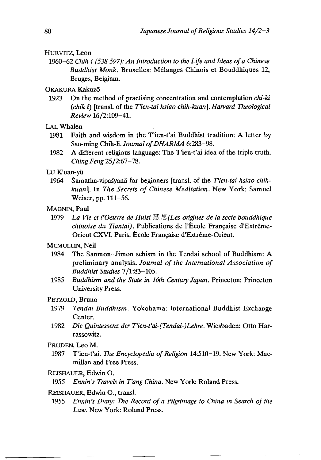## **HURVITZ, Leon**

1960—62 *Chih-i (538-597): An Introduction to the Life and Ideas of a Chinese Buddhist Monk.* Bruxelles: Melanges Chinois et Bouddhiques 12, Bruges, Belgium.

# OKAKURA Kakuzō

1923 On the method of practising concentration and contemplation *chi-ki (chik i)* [transl. of the *Tien-tai hsiao chih-kuan]. Harvard Theological Review* 16/2:109-41.

# LAI, Whalen

- 1981 Faith and wisdom in the T'ien-t'ai Buddhist tradition: A letter by Ssu-ming Chih-li. *Journal of DHARMA* 6:283-98.
- 1982 A different religious language: The T'ien-t'ai idea of the triple truth. Ching Feng  $25/2:67-78$ .

### Lu K'uan-yü

1964 Samatha-vipa^yana for beginners [transl. of the *Tien-tai hsiao chihkuart].* In *The Secrets of Chinese Meditation.* New York; Samuel Weiser, pp. 111-56.

### MAGNIN, Paul

1979 *La Vie et VOeuvre de Huisi* 慧思(Ley *origines de la secte bouddhique chinoise du Tiantai).* Publications de l'École Française d'Extrême-Orient CXVI. Paris: École Française d'Extrême-Orient.

# MCMULLIN, Neil

- 1984 The Sanmon—Jimon schism in the Tendai school of Buddhism: A preliminary analysis. *Journal of the International Association of Buddhist Studies* 7/1:83-105.
- 1985 *Buddhism and the State in 16th Century Japan.* Princeton: Princeton University Press.

# PETZOLD, Bruno

- 1979 *Tendai Buddhism.* Yokohama: International Buddhist Exchange Center.
- 1982 *Die Quintessenz der Tien-t'ai-(Tendai-)Lehre*. Wiesbaden: Otto Harrassowitz.

#### PRUDEN, Leo M.

1987 T'ien-t'ai. *The Encyclopedia of Religion* 14:510-19. New York: Macmillan and Free Press.

# REISHAUER, Edwin O.

1955 *Ennin's Travels in T'ang China*. New York: Roland Press.

#### REISHAUER, Edwin O., transl.

1955 *Ennin fs Diary: The Record of a Pilgrimage to China in Search of the Law.* New York: Roland Press.